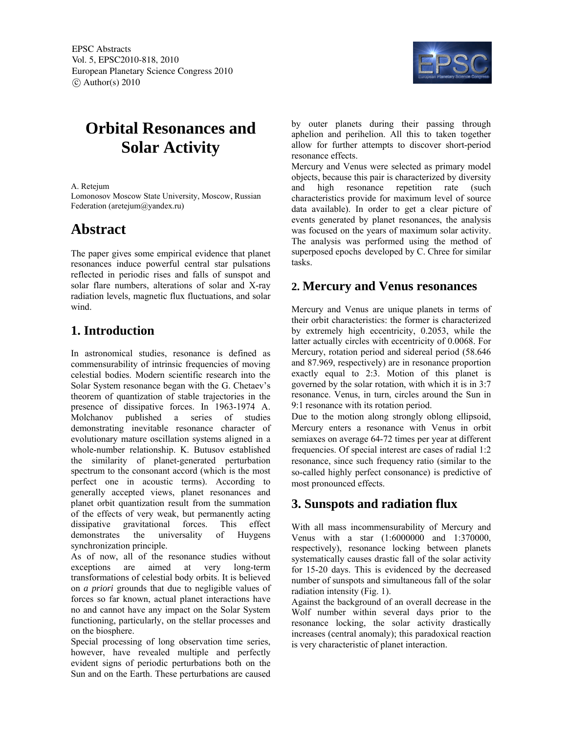

# **Orbital Resonances and Solar Activity**

A. Retejum

Lomonosov Moscow State University, Moscow, Russian Federation (aretejum@yandex.ru)

## **Abstract**

The paper gives some empirical evidence that planet resonances induce powerful central star pulsations reflected in periodic rises and falls of sunspot and solar flare numbers, alterations of solar and X-ray radiation levels, magnetic flux fluctuations, and solar wind.

## **1. Introduction**

In astronomical studies, resonance is defined as commensurability of intrinsic frequencies of moving celestial bodies. Modern scientific research into the Solar System resonance began with the G. Chetaev's theorem of quantization of stable trajectories in the presence of dissipative forces. In 1963-1974 A. Molchanov published a series of studies demonstrating inevitable resonance character of evolutionary mature oscillation systems aligned in a whole-number relationship. K. Butusov established the similarity of planet-generated perturbation spectrum to the consonant accord (which is the most perfect one in acoustic terms). According to generally accepted views, planet resonances and planet orbit quantization result from the summation of the effects of very weak, but permanently acting dissipative gravitational forces. This effect demonstrates the universality of Huygens synchronization principle.

As of now, all of the resonance studies without exceptions are aimed at very long-term transformations of celestial body orbits. It is believed on *a priori* grounds that due to negligible values of forces so far known, actual planet interactions have no and cannot have any impact on the Solar System functioning, particularly, on the stellar processes and on the biosphere.

Special processing of long observation time series, however, have revealed multiple and perfectly evident signs of periodic perturbations both on the Sun and on the Earth. These perturbations are caused by outer planets during their passing through aphelion and perihelion. All this to taken together allow for further attempts to discover short-period resonance effects.

Mercury and Venus were selected as primary model objects, because this pair is characterized by diversity and high resonance repetition rate (such characteristics provide for maximum level of source data available). In order to get a clear picture of events generated by planet resonances, the analysis was focused on the years of maximum solar activity. The analysis was performed using the method of superposed epochs developed by С. Chree for similar tasks.

## **2. Mercury and Venus resonances**

Mercury and Venus are unique planets in terms of their orbit characteristics: the former is characterized by extremely high eccentricity, 0.2053, while the latter actually circles with eccentricity of 0.0068. For Mercury, rotation period and sidereal period (58.646 and 87.969, respectively) are in resonance proportion exactly equal to 2:3. Motion of this planet is governed by the solar rotation, with which it is in 3:7 resonance. Venus, in turn, circles around the Sun in 9:1 resonance with its rotation period.

Due to the motion along strongly oblong ellipsoid, Mercury enters a resonance with Venus in orbit semiaxes on average 64-72 times per year at different frequencies. Of special interest are cases of radial 1:2 resonance, since such frequency ratio (similar to the so-called highly perfect consonance) is predictive of most pronounced effects.

## **3. Sunspots and radiation flux**

With all mass incommensurability of Mercury and Venus with a star (1:6000000 and 1:370000, respectively), resonance locking between planets systematically causes drastic fall of the solar activity for 15-20 days. This is evidenced by the decreased number of sunspots and simultaneous fall of the solar radiation intensity (Fig. 1).

Against the background of an overall decrease in the Wolf number within several days prior to the resonance locking, the solar activity drastically increases (central anomaly); this paradoxical reaction is very characteristic of planet interaction.